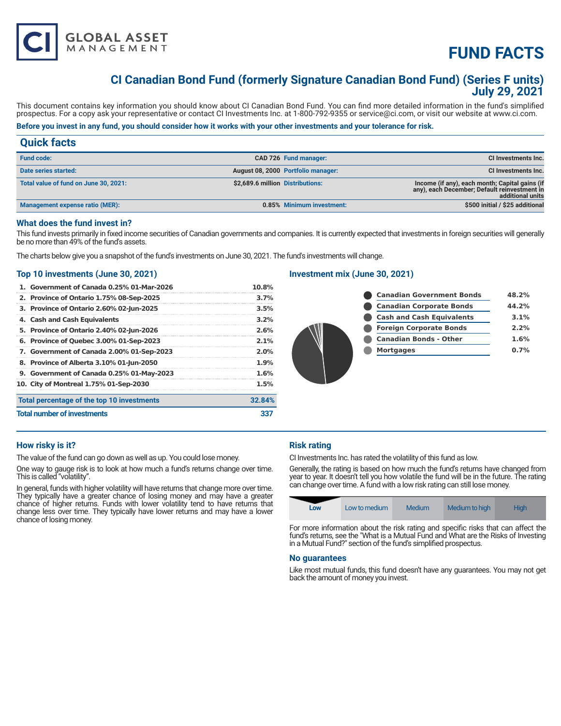

## **CI Canadian Bond Fund (formerly Signature Canadian Bond Fund) (Series F units) July 29, 2021**

This document contains key information you should know about CI Canadian Bond Fund. You can find more detailed information in the fund's simplified prospectus. For a copy ask your representative or contact CI Investments Inc. at 1-800-792-9355 or service@ci.com, or visit our website at www.ci.com.

## **Before you invest in any fund, you should consider how it works with your other investments and your tolerance for risk.**

## **Quick facts**

| <b>Fund code:</b>                     | CAD 726 Fund manager:              | CI Investments Inc.                                                                                                |
|---------------------------------------|------------------------------------|--------------------------------------------------------------------------------------------------------------------|
| Date series started:                  | August 08, 2000 Portfolio manager: | <b>CI Investments Inc.</b>                                                                                         |
| Total value of fund on June 30, 2021: | \$2,689.6 million Distributions:   | Income (if any), each month; Capital gains (if<br>any), each December; Default reinvestment in<br>additional units |
| Management expense ratio (MER):       | 0.85% Minimum investment:          | \$500 initial / \$25 additional                                                                                    |

## **What does the fund invest in?**

This fund invests primarily in fixed income securities of Canadian governments and companies. It is currently expected that investments in foreign securities will generally be no more than 49% of the fund's assets.

The charts below give you a snapshot of the fund's investments on June 30, 2021. The fund's investments will change.

## **Top 10 investments (June 30, 2021)**

**GLOBAL ASSET**<br>MANAGEMENT

| 1. Government of Canada 0.25% 01-Mar-2026  | 10.8%   |
|--------------------------------------------|---------|
| 2. Province of Ontario 1.75% 08-Sep-2025   | 3.7%    |
| 3. Province of Ontario 2.60% 02-Jun-2025   | 3.5%    |
| 4. Cash and Cash Equivalents               | $3.2\%$ |
| 5. Province of Ontario 2.40% 02-Jun-2026   | 2.6%    |
| 6. Province of Quebec 3.00% 01-Sep-2023    | 2.1%    |
| 7. Government of Canada 2.00% 01-Sep-2023  | $2.0\%$ |
| 8. Province of Alberta 3.10% 01-Jun-2050   | 1.9%    |
| 9. Government of Canada 0.25% 01-May-2023  | 1.6%    |
| 10. City of Montreal 1.75% 01-Sep-2030     | 1.5%    |
| Total percentage of the top 10 investments | 32.84%  |
| <b>Total number of investments</b>         | 33      |

## **Investment mix (June 30, 2021)**

|  | <b>Canadian Government Bonds</b> | 48.2% |
|--|----------------------------------|-------|
|  | <b>Canadian Corporate Bonds</b>  | 44.2% |
|  | <b>Cash and Cash Equivalents</b> | 3.1%  |
|  | <b>Foreign Corporate Bonds</b>   | 2.2%  |
|  | <b>Canadian Bonds - Other</b>    | 1.6%  |
|  | <b>Mortgages</b>                 | 0.7%  |
|  |                                  |       |
|  |                                  |       |

## **How risky is it?**

The value of the fund can go down as well as up. You could lose money.

One way to gauge risk is to look at how much a fund's returns change over time. This is called "volatility".

In general, funds with higher volatility will have returns that change more over time. They typically have a greater chance of losing money and may have a greater chance of higher returns. Funds with lower volatility tend to have returns that change less over time. They typically have lower returns and may have a lower chance of losing money.

## **Risk rating**

CI Investments Inc. has rated the volatility of this fund as low.

Generally, the rating is based on how much the fund's returns have changed from year to year. It doesn't tell you how volatile the fund will be in the future. The rating can change over time. A fund with a low risk rating can still lose money.

| Low | Low to medium | <b>Medium</b> | Medium to high | <b>High</b> |
|-----|---------------|---------------|----------------|-------------|
|-----|---------------|---------------|----------------|-------------|

For more information about the risk rating and specific risks that can affect the fund's returns, see the "What is a Mutual Fund and What are the Risks of Investing in a Mutual Fund?" section of the fund's simplified prospectus.

#### **No guarantees**

Like most mutual funds, this fund doesn't have any guarantees. You may not get back the amount of money you invest.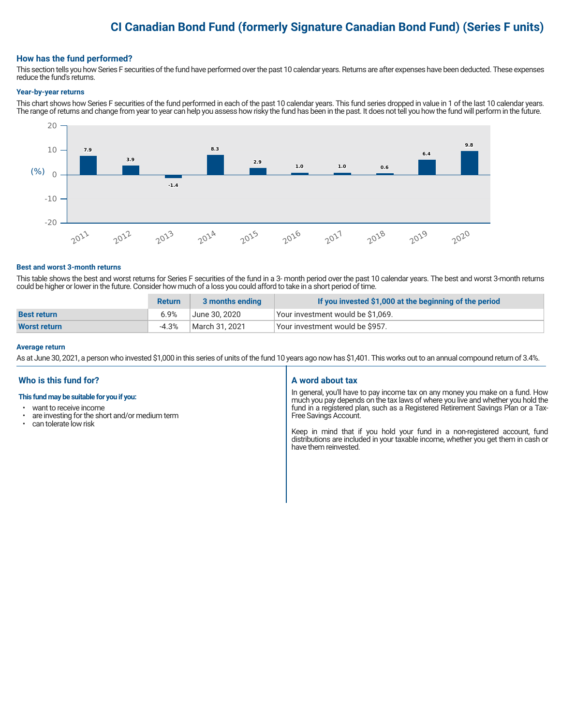## **CI Canadian Bond Fund (formerly Signature Canadian Bond Fund) (Series F units)**

### **How has the fund performed?**

This section tells you how Series F securities of the fund have performed over the past 10 calendar years. Returns are after expenses have been deducted. These expenses reduce the fund's returns.

#### **Year-by-year returns**

This chart shows how Series F securities of the fund performed in each of the past 10 calendar years. This fund series dropped in value in 1 of the last 10 calendar years. The range of returns and change from year to year can help you assess how risky the fund has been in the past. It does not tell you how the fund will perform in the future.



#### **Best and worst 3-month returns**

This table shows the best and worst returns for Series F securities of the fund in a 3- month period over the past 10 calendar years. The best and worst 3-month returns could be higher or lower in the future. Consider how much of a loss you could afford to take in a short period of time.

|                     | <b>Return</b> | 3 months ending | If you invested \$1,000 at the beginning of the period |
|---------------------|---------------|-----------------|--------------------------------------------------------|
| <b>Best return</b>  | 6.9%          | June 30. 2020   | Vour investment would be \$1,069.                      |
| <b>Worst return</b> | $-4.3%$       | March 31, 2021  | Vour investment would be \$957.                        |

#### **Average return**

As at June 30, 2021, a person who invested \$1,000 in this series of units of the fund 10 years ago now has \$1,401. This works out to an annual compound return of 3.4%.

## **Who is this fund for?**

#### **This fund may be suitable for you if you:**

- want to receive income
- $\cdot$  are investing for the short and/or medium term<br> $\cdot$  can telerate low risk
- can tolerate low risk

#### **A word about tax**

In general, you'll have to pay income tax on any money you make on a fund. How much you pay depends on the tax laws of where you live and whether you hold the fund in a registered plan, such as a Registered Retirement Savings Plan or a Tax-Free Savings Account.

Keep in mind that if you hold your fund in a non-registered account, fund distributions are included in your taxable income, whether you get them in cash or have them reinvested.